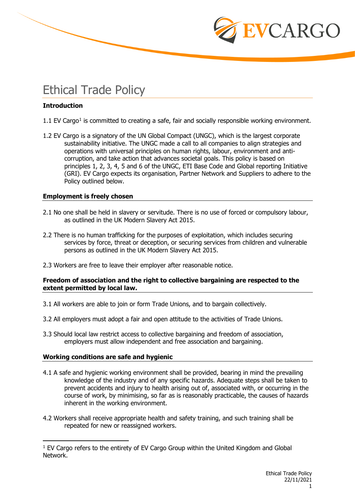

# Ethical Trade Policy

# **Introduction**

- [1](#page-0-0).1 EV Cargo<sup>1</sup> is committed to creating a safe, fair and socially responsible working environment.
- 1.2 EV Cargo is a signatory of the UN Global Compact (UNGC), which is the largest corporate sustainability initiative. The UNGC made a call to all companies to align strategies and operations with universal principles on human rights, labour, environment and anticorruption, and take action that advances societal goals. This policy is based on principles 1, 2, 3, 4, 5 and 6 of the UNGC, ETI Base Code and Global reporting Initiative (GRI). EV Cargo expects its organisation, Partner Network and Suppliers to adhere to the Policy outlined below.

# **Employment is freely chosen**

- 2.1 No one shall be held in slavery or servitude. There is no use of forced or compulsory labour, as outlined in the UK Modern Slavery Act 2015.
- 2.2 There is no human trafficking for the purposes of exploitation, which includes securing services by force, threat or deception, or securing services from children and vulnerable persons as outlined in the UK Modern Slavery Act 2015.
- 2.3 Workers are free to leave their employer after reasonable notice.

## **Freedom of association and the right to collective bargaining are respected to the extent permitted by local law.**

- 3.1 All workers are able to join or form Trade Unions, and to bargain collectively.
- 3.2 All employers must adopt a fair and open attitude to the activities of Trade Unions.
- 3.3 Should local law restrict access to collective bargaining and freedom of association, employers must allow independent and free association and bargaining.

# **Working conditions are safe and hygienic**

- 4.1 A safe and hygienic working environment shall be provided, bearing in mind the prevailing knowledge of the industry and of any specific hazards. Adequate steps shall be taken to prevent accidents and injury to health arising out of, associated with, or occurring in the course of work, by minimising, so far as is reasonably practicable, the causes of hazards inherent in the working environment.
- 4.2 Workers shall receive appropriate health and safety training, and such training shall be repeated for new or reassigned workers.

<span id="page-0-0"></span> $1$  EV Cargo refers to the entirety of EV Cargo Group within the United Kingdom and Global Network.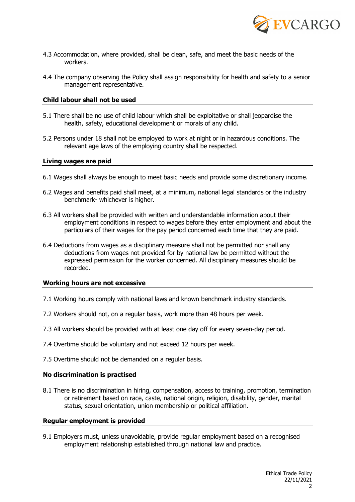

- 4.3 Accommodation, where provided, shall be clean, safe, and meet the basic needs of the workers.
- 4.4 The company observing the Policy shall assign responsibility for health and safety to a senior management representative.

#### **Child labour shall not be used**

- 5.1 There shall be no use of child labour which shall be exploitative or shall jeopardise the health, safety, educational development or morals of any child.
- 5.2 Persons under 18 shall not be employed to work at night or in hazardous conditions. The relevant age laws of the employing country shall be respected.

#### **Living wages are paid**

- 6.1 Wages shall always be enough to meet basic needs and provide some discretionary income.
- 6.2 Wages and benefits paid shall meet, at a minimum, national legal standards or the industry benchmark- whichever is higher.
- 6.3 All workers shall be provided with written and understandable information about their employment conditions in respect to wages before they enter employment and about the particulars of their wages for the pay period concerned each time that they are paid.
- 6.4 Deductions from wages as a disciplinary measure shall not be permitted nor shall any deductions from wages not provided for by national law be permitted without the expressed permission for the worker concerned. All disciplinary measures should be recorded.

#### **Working hours are not excessive**

- 7.1 Working hours comply with national laws and known benchmark industry standards.
- 7.2 Workers should not, on a regular basis, work more than 48 hours per week.
- 7.3 All workers should be provided with at least one day off for every seven-day period.
- 7.4 Overtime should be voluntary and not exceed 12 hours per week.
- 7.5 Overtime should not be demanded on a regular basis.

#### **No discrimination is practised**

8.1 There is no discrimination in hiring, compensation, access to training, promotion, termination or retirement based on race, caste, national origin, religion, disability, gender, marital status, sexual orientation, union membership or political affiliation.

#### **Regular employment is provided**

9.1 Employers must, unless unavoidable, provide regular employment based on a recognised employment relationship established through national law and practice.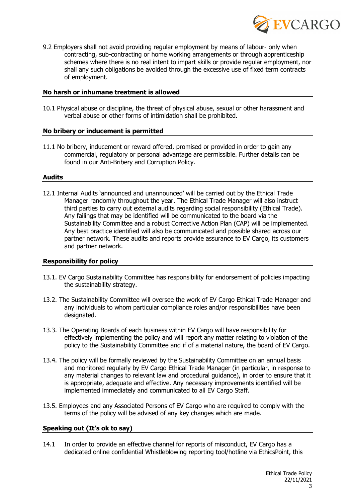

9.2 Employers shall not avoid providing regular employment by means of labour- only when contracting, sub-contracting or home working arrangements or through apprenticeship schemes where there is no real intent to impart skills or provide regular employment, nor shall any such obligations be avoided through the excessive use of fixed term contracts of employment.

## **No harsh or inhumane treatment is allowed**

10.1 Physical abuse or discipline, the threat of physical abuse, sexual or other harassment and verbal abuse or other forms of intimidation shall be prohibited.

## **No bribery or inducement is permitted**

11.1 No bribery, inducement or reward offered, promised or provided in order to gain any commercial, regulatory or personal advantage are permissible. Further details can be found in our Anti-Bribery and Corruption Policy.

## **Audits**

12.1 Internal Audits 'announced and unannounced' will be carried out by the Ethical Trade Manager randomly throughout the year. The Ethical Trade Manager will also instruct third parties to carry out external audits regarding social responsibility (Ethical Trade). Any failings that may be identified will be communicated to the board via the Sustainability Committee and a robust Corrective Action Plan (CAP) will be implemented. Any best practice identified will also be communicated and possible shared across our partner network. These audits and reports provide assurance to EV Cargo, its customers and partner network.

# **Responsibility for policy**

- 13.1. EV Cargo Sustainability Committee has responsibility for endorsement of policies impacting the sustainability strategy.
- 13.2. The Sustainability Committee will oversee the work of EV Cargo Ethical Trade Manager and any individuals to whom particular compliance roles and/or responsibilities have been designated.
- 13.3. The Operating Boards of each business within EV Cargo will have responsibility for effectively implementing the policy and will report any matter relating to violation of the policy to the Sustainability Committee and if of a material nature, the board of EV Cargo.
- 13.4. The policy will be formally reviewed by the Sustainability Committee on an annual basis and monitored regularly by EV Cargo Ethical Trade Manager (in particular, in response to any material changes to relevant law and procedural guidance), in order to ensure that it is appropriate, adequate and effective. Any necessary improvements identified will be implemented immediately and communicated to all EV Cargo Staff.
- 13.5. Employees and any Associated Persons of EV Cargo who are required to comply with the terms of the policy will be advised of any key changes which are made.

# **Speaking out (It's ok to say)**

14.1 In order to provide an effective channel for reports of misconduct, EV Cargo has a dedicated online confidential Whistleblowing reporting tool/hotline via EthicsPoint, this